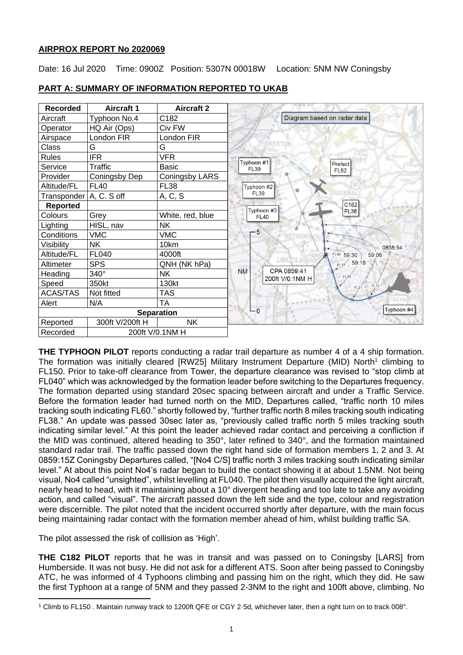# **AIRPROX REPORT No 2020069**

Date: 16 Jul 2020 Time: 0900Z Position: 5307N 00018W Location: 5NM NW Coningsby



# **PART A: SUMMARY OF INFORMATION REPORTED TO UKAB**

**THE TYPHOON PILOT** reports conducting a radar trail departure as number 4 of a 4 ship formation. The formation was initially cleared  $IRW25$ ] Military Instrument Departure (MID) North<sup>1</sup> climbing to FL150. Prior to take-off clearance from Tower, the departure clearance was revised to "stop climb at FL040" which was acknowledged by the formation leader before switching to the Departures frequency. The formation departed using standard 20sec spacing between aircraft and under a Traffic Service. Before the formation leader had turned north on the MID, Departures called, "traffic north 10 miles tracking south indicating FL60." shortly followed by, "further traffic north 8 miles tracking south indicating FL38." An update was passed 30sec later as, "previously called traffic north 5 miles tracking south indicating similar level." At this point the leader achieved radar contact and perceiving a confliction if the MID was continued, altered heading to 350°, later refined to 340°, and the formation maintained standard radar trail. The traffic passed down the right hand side of formation members 1, 2 and 3. At 0859:15Z Coningsby Departures called, "[No4 C/S] traffic north 3 miles tracking south indicating similar level." At about this point No4's radar began to build the contact showing it at about 1.5NM. Not being visual, No4 called "unsighted", whilst levelling at FL040. The pilot then visually acquired the light aircraft, nearly head to head, with it maintaining about a 10° divergent heading and too late to take any avoiding action, and called "visual". The aircraft passed down the left side and the type, colour and registration were discernible. The pilot noted that the incident occurred shortly after departure, with the main focus being maintaining radar contact with the formation member ahead of him, whilst building traffic SA.

The pilot assessed the risk of collision as 'High'.

**THE C182 PILOT** reports that he was in transit and was passed on to Coningsby [LARS] from Humberside. It was not busy. He did not ask for a different ATS. Soon after being passed to Coningsby ATC, he was informed of 4 Typhoons climbing and passing him on the right, which they did. He saw the first Typhoon at a range of 5NM and they passed 2-3NM to the right and 100ft above, climbing. No

<sup>1</sup> Climb to FL150 . Maintain runway track to 1200ft QFE or CGY 2·5d, whichever later, then a right turn on to track 008°.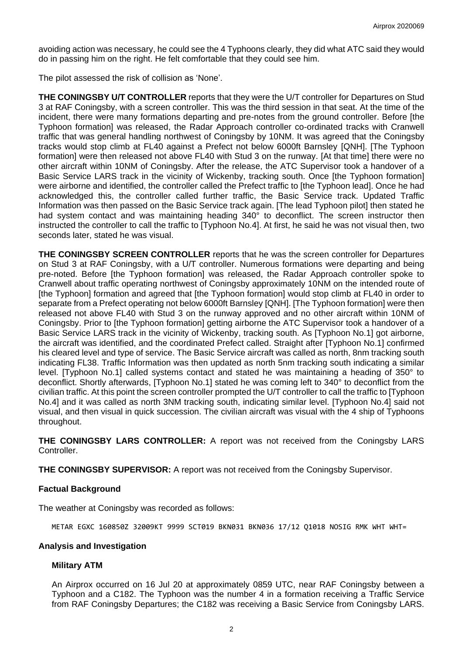avoiding action was necessary, he could see the 4 Typhoons clearly, they did what ATC said they would do in passing him on the right. He felt comfortable that they could see him.

The pilot assessed the risk of collision as 'None'.

**THE CONINGSBY U/T CONTROLLER** reports that they were the U/T controller for Departures on Stud 3 at RAF Coningsby, with a screen controller. This was the third session in that seat. At the time of the incident, there were many formations departing and pre-notes from the ground controller. Before [the Typhoon formation] was released, the Radar Approach controller co-ordinated tracks with Cranwell traffic that was general handling northwest of Coningsby by 10NM. It was agreed that the Coningsby tracks would stop climb at FL40 against a Prefect not below 6000ft Barnsley [QNH]. [The Typhoon formation] were then released not above FL40 with Stud 3 on the runway. [At that time] there were no other aircraft within 10NM of Coningsby. After the release, the ATC Supervisor took a handover of a Basic Service LARS track in the vicinity of Wickenby, tracking south. Once [the Typhoon formation] were airborne and identified, the controller called the Prefect traffic to [the Typhoon lead]. Once he had acknowledged this, the controller called further traffic, the Basic Service track. Updated Traffic Information was then passed on the Basic Service track again. [The lead Typhoon pilot] then stated he had system contact and was maintaining heading 340° to deconflict. The screen instructor then instructed the controller to call the traffic to [Typhoon No.4]. At first, he said he was not visual then, two seconds later, stated he was visual.

**THE CONINGSBY SCREEN CONTROLLER** reports that he was the screen controller for Departures on Stud 3 at RAF Coningsby, with a U/T controller. Numerous formations were departing and being pre-noted. Before [the Typhoon formation] was released, the Radar Approach controller spoke to Cranwell about traffic operating northwest of Coningsby approximately 10NM on the intended route of [the Typhoon] formation and agreed that [the Typhoon formation] would stop climb at FL40 in order to separate from a Prefect operating not below 6000ft Barnsley [QNH]. [The Typhoon formation] were then released not above FL40 with Stud 3 on the runway approved and no other aircraft within 10NM of Coningsby. Prior to [the Typhoon formation] getting airborne the ATC Supervisor took a handover of a Basic Service LARS track in the vicinity of Wickenby, tracking south. As [Typhoon No.1] got airborne, the aircraft was identified, and the coordinated Prefect called. Straight after [Typhoon No.1] confirmed his cleared level and type of service. The Basic Service aircraft was called as north, 8nm tracking south indicating FL38. Traffic Information was then updated as north 5nm tracking south indicating a similar level. [Typhoon No.1] called systems contact and stated he was maintaining a heading of 350° to deconflict. Shortly afterwards, [Typhoon No.1] stated he was coming left to 340° to deconflict from the civilian traffic. At this point the screen controller prompted the U/T controller to call the traffic to [Typhoon No.4] and it was called as north 3NM tracking south, indicating similar level. [Typhoon No.4] said not visual, and then visual in quick succession. The civilian aircraft was visual with the 4 ship of Typhoons throughout.

**THE CONINGSBY LARS CONTROLLER:** A report was not received from the Coningsby LARS Controller.

**THE CONINGSBY SUPERVISOR:** A report was not received from the Coningsby Supervisor.

### **Factual Background**

The weather at Coningsby was recorded as follows:

METAR EGXC 160850Z 32009KT 9999 SCT019 BKN031 BKN036 17/12 Q1018 NOSIG RMK WHT WHT=

### **Analysis and Investigation**

### **Military ATM**

An Airprox occurred on 16 Jul 20 at approximately 0859 UTC, near RAF Coningsby between a Typhoon and a C182. The Typhoon was the number 4 in a formation receiving a Traffic Service from RAF Coningsby Departures; the C182 was receiving a Basic Service from Coningsby LARS.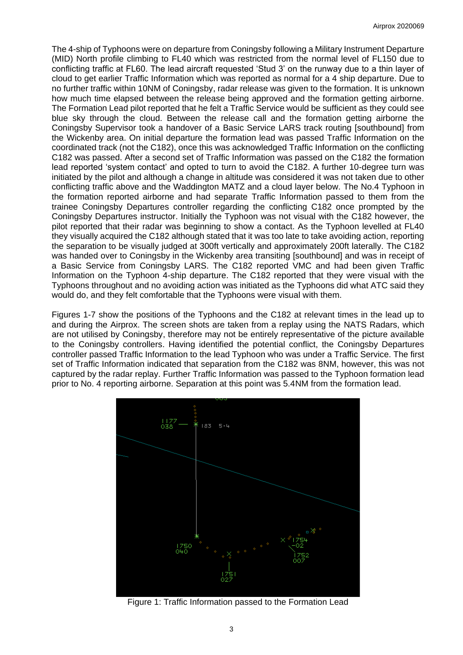The 4-ship of Typhoons were on departure from Coningsby following a Military Instrument Departure (MID) North profile climbing to FL40 which was restricted from the normal level of FL150 due to conflicting traffic at FL60. The lead aircraft requested 'Stud 3' on the runway due to a thin layer of cloud to get earlier Traffic Information which was reported as normal for a 4 ship departure. Due to no further traffic within 10NM of Coningsby, radar release was given to the formation. It is unknown how much time elapsed between the release being approved and the formation getting airborne. The Formation Lead pilot reported that he felt a Traffic Service would be sufficient as they could see blue sky through the cloud. Between the release call and the formation getting airborne the Coningsby Supervisor took a handover of a Basic Service LARS track routing [southbound] from the Wickenby area. On initial departure the formation lead was passed Traffic Information on the coordinated track (not the C182), once this was acknowledged Traffic Information on the conflicting C182 was passed. After a second set of Traffic Information was passed on the C182 the formation lead reported 'system contact' and opted to turn to avoid the C182. A further 10-degree turn was initiated by the pilot and although a change in altitude was considered it was not taken due to other conflicting traffic above and the Waddington MATZ and a cloud layer below. The No.4 Typhoon in the formation reported airborne and had separate Traffic Information passed to them from the trainee Coningsby Departures controller regarding the conflicting C182 once prompted by the Coningsby Departures instructor. Initially the Typhoon was not visual with the C182 however, the pilot reported that their radar was beginning to show a contact. As the Typhoon levelled at FL40 they visually acquired the C182 although stated that it was too late to take avoiding action, reporting the separation to be visually judged at 300ft vertically and approximately 200ft laterally. The C182 was handed over to Coningsby in the Wickenby area transiting [southbound] and was in receipt of a Basic Service from Coningsby LARS. The C182 reported VMC and had been given Traffic Information on the Typhoon 4-ship departure. The C182 reported that they were visual with the Typhoons throughout and no avoiding action was initiated as the Typhoons did what ATC said they would do, and they felt comfortable that the Typhoons were visual with them.

Figures 1-7 show the positions of the Typhoons and the C182 at relevant times in the lead up to and during the Airprox. The screen shots are taken from a replay using the NATS Radars, which are not utilised by Coningsby, therefore may not be entirely representative of the picture available to the Coningsby controllers. Having identified the potential conflict, the Coningsby Departures controller passed Traffic Information to the lead Typhoon who was under a Traffic Service. The first set of Traffic Information indicated that separation from the C182 was 8NM, however, this was not captured by the radar replay. Further Traffic Information was passed to the Typhoon formation lead prior to No. 4 reporting airborne. Separation at this point was 5.4NM from the formation lead.



Figure 1: Traffic Information passed to the Formation Lead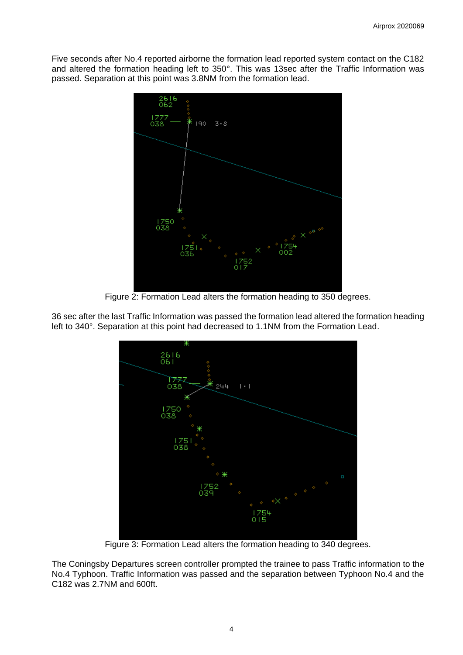Five seconds after No.4 reported airborne the formation lead reported system contact on the C182 and altered the formation heading left to 350°. This was 13sec after the Traffic Information was passed. Separation at this point was 3.8NM from the formation lead.



Figure 2: Formation Lead alters the formation heading to 350 degrees.



36 sec after the last Traffic Information was passed the formation lead altered the formation heading left to 340°. Separation at this point had decreased to 1.1NM from the Formation Lead.

Figure 3: Formation Lead alters the formation heading to 340 degrees.

The Coningsby Departures screen controller prompted the trainee to pass Traffic information to the No.4 Typhoon. Traffic Information was passed and the separation between Typhoon No.4 and the C182 was 2.7NM and 600ft.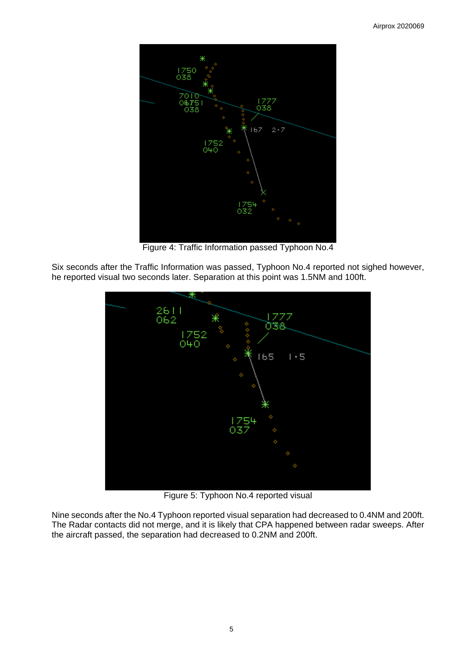

Figure 4: Traffic Information passed Typhoon No.4

Six seconds after the Traffic Information was passed, Typhoon No.4 reported not sighed however, he reported visual two seconds later. Separation at this point was 1.5NM and 100ft.



Figure 5: Typhoon No.4 reported visual

Nine seconds after the No.4 Typhoon reported visual separation had decreased to 0.4NM and 200ft. The Radar contacts did not merge, and it is likely that CPA happened between radar sweeps. After the aircraft passed, the separation had decreased to 0.2NM and 200ft.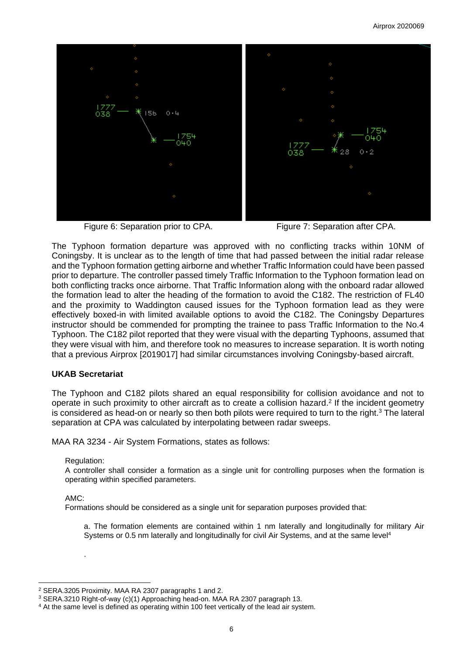

Figure 6: Separation prior to CPA. Figure 7: Separation after CPA.

The Typhoon formation departure was approved with no conflicting tracks within 10NM of Coningsby. It is unclear as to the length of time that had passed between the initial radar release and the Typhoon formation getting airborne and whether Traffic Information could have been passed prior to departure. The controller passed timely Traffic Information to the Typhoon formation lead on both conflicting tracks once airborne. That Traffic Information along with the onboard radar allowed the formation lead to alter the heading of the formation to avoid the C182. The restriction of FL40 and the proximity to Waddington caused issues for the Typhoon formation lead as they were effectively boxed-in with limited available options to avoid the C182. The Coningsby Departures instructor should be commended for prompting the trainee to pass Traffic Information to the No.4 Typhoon. The C182 pilot reported that they were visual with the departing Typhoons, assumed that they were visual with him, and therefore took no measures to increase separation. It is worth noting that a previous Airprox [2019017] had similar circumstances involving Coningsby-based aircraft.

# **UKAB Secretariat**

The Typhoon and C182 pilots shared an equal responsibility for collision avoidance and not to operate in such proximity to other aircraft as to create a collision hazard. 2 If the incident geometry is considered as head-on or nearly so then both pilots were required to turn to the right.<sup>3</sup> The lateral separation at CPA was calculated by interpolating between radar sweeps.

MAA RA 3234 - Air System Formations, states as follows:

### Regulation:

.

A controller shall consider a formation as a single unit for controlling purposes when the formation is operating within specified parameters.

# AMC:

Formations should be considered as a single unit for separation purposes provided that:

a. The formation elements are contained within 1 nm laterally and longitudinally for military Air Systems or 0.5 nm laterally and longitudinally for civil Air Systems, and at the same level<sup>4</sup>

<sup>2</sup> SERA.3205 Proximity. MAA RA 2307 paragraphs 1 and 2.

<sup>3</sup> SERA.3210 Right-of-way (c)(1) Approaching head-on. MAA RA 2307 paragraph 13.

<sup>&</sup>lt;sup>4</sup> At the same level is defined as operating within 100 feet vertically of the lead air system.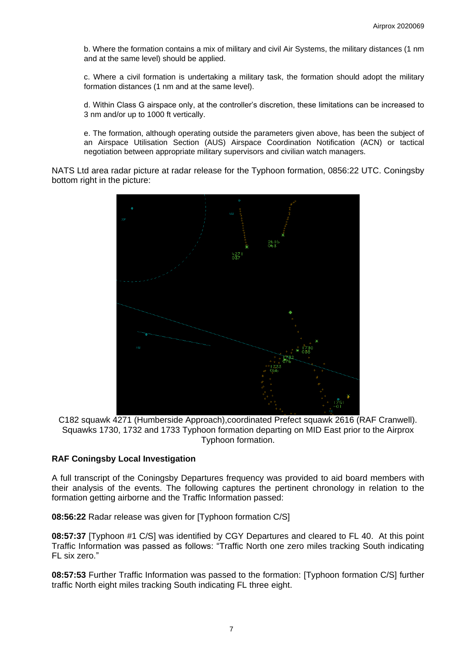b. Where the formation contains a mix of military and civil Air Systems, the military distances (1 nm and at the same level) should be applied.

c. Where a civil formation is undertaking a military task, the formation should adopt the military formation distances (1 nm and at the same level).

d. Within Class G airspace only, at the controller's discretion, these limitations can be increased to 3 nm and/or up to 1000 ft vertically.

e. The formation, although operating outside the parameters given above, has been the subject of an Airspace Utilisation Section (AUS) Airspace Coordination Notification (ACN) or tactical negotiation between appropriate military supervisors and civilian watch managers.

NATS Ltd area radar picture at radar release for the Typhoon formation, 0856:22 UTC. Coningsby bottom right in the picture:



C182 squawk 4271 (Humberside Approach),coordinated Prefect squawk 2616 (RAF Cranwell). Squawks 1730, 1732 and 1733 Typhoon formation departing on MID East prior to the Airprox Typhoon formation.

# **RAF Coningsby Local Investigation**

A full transcript of the Coningsby Departures frequency was provided to aid board members with their analysis of the events. The following captures the pertinent chronology in relation to the formation getting airborne and the Traffic Information passed:

**08:56:22** Radar release was given for [Typhoon formation C/S]

**08:57:37** [Typhoon #1 C/S] was identified by CGY Departures and cleared to FL 40. At this point Traffic Information was passed as follows: "Traffic North one zero miles tracking South indicating FL six zero."

**08:57:53** Further Traffic Information was passed to the formation: [Typhoon formation C/S] further traffic North eight miles tracking South indicating FL three eight.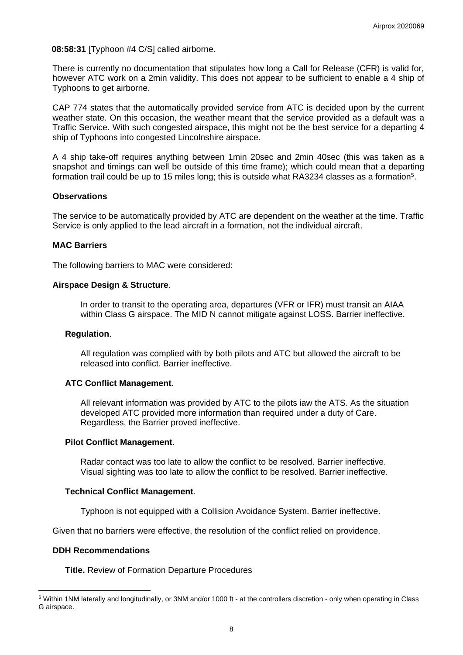**08:58:31** [Typhoon #4 C/S] called airborne.

There is currently no documentation that stipulates how long a Call for Release (CFR) is valid for, however ATC work on a 2min validity. This does not appear to be sufficient to enable a 4 ship of Typhoons to get airborne.

CAP 774 states that the automatically provided service from ATC is decided upon by the current weather state. On this occasion, the weather meant that the service provided as a default was a Traffic Service. With such congested airspace, this might not be the best service for a departing 4 ship of Typhoons into congested Lincolnshire airspace.

A 4 ship take-off requires anything between 1min 20sec and 2min 40sec (this was taken as a snapshot and timings can well be outside of this time frame); which could mean that a departing formation trail could be up to 15 miles long; this is outside what RA3234 classes as a formation<sup>5</sup>.

#### **Observations**

The service to be automatically provided by ATC are dependent on the weather at the time. Traffic Service is only applied to the lead aircraft in a formation, not the individual aircraft.

#### **MAC Barriers**

The following barriers to MAC were considered:

### **Airspace Design & Structure**.

In order to transit to the operating area, departures (VFR or IFR) must transit an AIAA within Class G airspace. The MID N cannot mitigate against LOSS. Barrier ineffective.

#### **Regulation**.

All regulation was complied with by both pilots and ATC but allowed the aircraft to be released into conflict. Barrier ineffective.

### **ATC Conflict Management**.

All relevant information was provided by ATC to the pilots iaw the ATS. As the situation developed ATC provided more information than required under a duty of Care. Regardless, the Barrier proved ineffective.

### **Pilot Conflict Management**.

Radar contact was too late to allow the conflict to be resolved. Barrier ineffective. Visual sighting was too late to allow the conflict to be resolved. Barrier ineffective.

### **Technical Conflict Management**.

Typhoon is not equipped with a Collision Avoidance System. Barrier ineffective.

Given that no barriers were effective, the resolution of the conflict relied on providence.

#### **DDH Recommendations**

**Title.** Review of Formation Departure Procedures

<sup>5</sup> Within 1NM laterally and longitudinally, or 3NM and/or 1000 ft - at the controllers discretion - only when operating in Class G airspace.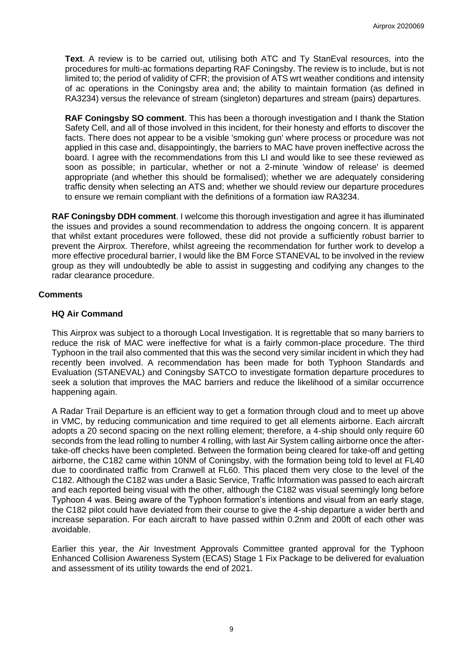**Text**. A review is to be carried out, utilising both ATC and Ty StanEval resources, into the procedures for multi-ac formations departing RAF Coningsby. The review is to include, but is not limited to; the period of validity of CFR; the provision of ATS wrt weather conditions and intensity of ac operations in the Coningsby area and; the ability to maintain formation (as defined in RA3234) versus the relevance of stream (singleton) departures and stream (pairs) departures.

**RAF Coningsby SO comment**. This has been a thorough investigation and I thank the Station Safety Cell, and all of those involved in this incident, for their honesty and efforts to discover the facts. There does not appear to be a visible 'smoking gun' where process or procedure was not applied in this case and, disappointingly, the barriers to MAC have proven ineffective across the board. I agree with the recommendations from this LI and would like to see these reviewed as soon as possible; in particular, whether or not a 2-minute 'window of release' is deemed appropriate (and whether this should be formalised); whether we are adequately considering traffic density when selecting an ATS and; whether we should review our departure procedures to ensure we remain compliant with the definitions of a formation iaw RA3234.

**RAF Coningsby DDH comment**. I welcome this thorough investigation and agree it has illuminated the issues and provides a sound recommendation to address the ongoing concern. It is apparent that whilst extant procedures were followed, these did not provide a sufficiently robust barrier to prevent the Airprox. Therefore, whilst agreeing the recommendation for further work to develop a more effective procedural barrier, I would like the BM Force STANEVAL to be involved in the review group as they will undoubtedly be able to assist in suggesting and codifying any changes to the radar clearance procedure.

# **Comments**

# **HQ Air Command**

This Airprox was subject to a thorough Local Investigation. It is regrettable that so many barriers to reduce the risk of MAC were ineffective for what is a fairly common-place procedure. The third Typhoon in the trail also commented that this was the second very similar incident in which they had recently been involved. A recommendation has been made for both Typhoon Standards and Evaluation (STANEVAL) and Coningsby SATCO to investigate formation departure procedures to seek a solution that improves the MAC barriers and reduce the likelihood of a similar occurrence happening again.

A Radar Trail Departure is an efficient way to get a formation through cloud and to meet up above in VMC, by reducing communication and time required to get all elements airborne. Each aircraft adopts a 20 second spacing on the next rolling element; therefore, a 4-ship should only require 60 seconds from the lead rolling to number 4 rolling, with last Air System calling airborne once the aftertake-off checks have been completed. Between the formation being cleared for take-off and getting airborne, the C182 came within 10NM of Coningsby, with the formation being told to level at FL40 due to coordinated traffic from Cranwell at FL60. This placed them very close to the level of the C182. Although the C182 was under a Basic Service, Traffic Information was passed to each aircraft and each reported being visual with the other, although the C182 was visual seemingly long before Typhoon 4 was. Being aware of the Typhoon formation's intentions and visual from an early stage, the C182 pilot could have deviated from their course to give the 4-ship departure a wider berth and increase separation. For each aircraft to have passed within 0.2nm and 200ft of each other was avoidable.

Earlier this year, the Air Investment Approvals Committee granted approval for the Typhoon Enhanced Collision Awareness System (ECAS) Stage 1 Fix Package to be delivered for evaluation and assessment of its utility towards the end of 2021.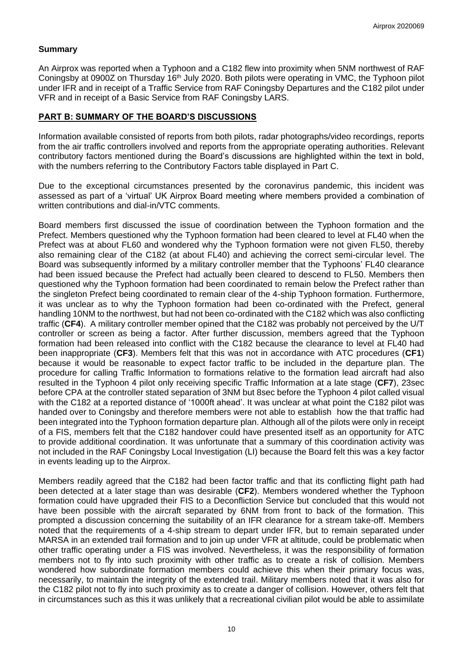# **Summary**

An Airprox was reported when a Typhoon and a C182 flew into proximity when 5NM northwest of RAF Coningsby at 0900Z on Thursday 16<sup>th</sup> July 2020. Both pilots were operating in VMC, the Typhoon pilot under IFR and in receipt of a Traffic Service from RAF Coningsby Departures and the C182 pilot under VFR and in receipt of a Basic Service from RAF Coningsby LARS.

# **PART B: SUMMARY OF THE BOARD'S DISCUSSIONS**

Information available consisted of reports from both pilots, radar photographs/video recordings, reports from the air traffic controllers involved and reports from the appropriate operating authorities. Relevant contributory factors mentioned during the Board's discussions are highlighted within the text in bold, with the numbers referring to the Contributory Factors table displayed in Part C.

Due to the exceptional circumstances presented by the coronavirus pandemic, this incident was assessed as part of a 'virtual' UK Airprox Board meeting where members provided a combination of written contributions and dial-in/VTC comments.

Board members first discussed the issue of coordination between the Typhoon formation and the Prefect. Members questioned why the Typhoon formation had been cleared to level at FL40 when the Prefect was at about FL60 and wondered why the Typhoon formation were not given FL50, thereby also remaining clear of the C182 (at about FL40) and achieving the correct semi-circular level. The Board was subsequently informed by a military controller member that the Typhoons' FL40 clearance had been issued because the Prefect had actually been cleared to descend to FL50. Members then questioned why the Typhoon formation had been coordinated to remain below the Prefect rather than the singleton Prefect being coordinated to remain clear of the 4-ship Typhoon formation. Furthermore, it was unclear as to why the Typhoon formation had been co-ordinated with the Prefect, general handling 10NM to the northwest, but had not been co-ordinated with the C182 which was also conflicting traffic (**CF4**). A military controller member opined that the C182 was probably not perceived by the U/T controller or screen as being a factor. After further discussion, members agreed that the Typhoon formation had been released into conflict with the C182 because the clearance to level at FL40 had been inappropriate (**CF3**). Members felt that this was not in accordance with ATC procedures (**CF1**) because it would be reasonable to expect factor traffic to be included in the departure plan. The procedure for calling Traffic Information to formations relative to the formation lead aircraft had also resulted in the Typhoon 4 pilot only receiving specific Traffic Information at a late stage (**CF7**), 23sec before CPA at the controller stated separation of 3NM but 8sec before the Typhoon 4 pilot called visual with the C182 at a reported distance of '1000ft ahead'. It was unclear at what point the C182 pilot was handed over to Coningsby and therefore members were not able to establish how the that traffic had been integrated into the Typhoon formation departure plan. Although all of the pilots were only in receipt of a FIS, members felt that the C182 handover could have presented itself as an opportunity for ATC to provide additional coordination. It was unfortunate that a summary of this coordination activity was not included in the RAF Coningsby Local Investigation (LI) because the Board felt this was a key factor in events leading up to the Airprox.

Members readily agreed that the C182 had been factor traffic and that its conflicting flight path had been detected at a later stage than was desirable (**CF2**). Members wondered whether the Typhoon formation could have upgraded their FIS to a Deconfliction Service but concluded that this would not have been possible with the aircraft separated by 6NM from front to back of the formation. This prompted a discussion concerning the suitability of an IFR clearance for a stream take-off. Members noted that the requirements of a 4-ship stream to depart under IFR, but to remain separated under MARSA in an extended trail formation and to join up under VFR at altitude, could be problematic when other traffic operating under a FIS was involved. Nevertheless, it was the responsibility of formation members not to fly into such proximity with other traffic as to create a risk of collision. Members wondered how subordinate formation members could achieve this when their primary focus was, necessarily, to maintain the integrity of the extended trail. Military members noted that it was also for the C182 pilot not to fly into such proximity as to create a danger of collision. However, others felt that in circumstances such as this it was unlikely that a recreational civilian pilot would be able to assimilate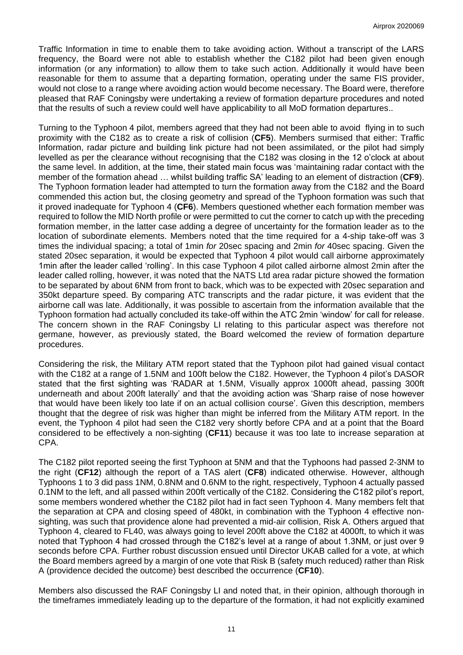Traffic Information in time to enable them to take avoiding action. Without a transcript of the LARS frequency, the Board were not able to establish whether the C182 pilot had been given enough information (or any information) to allow them to take such action. Additionally it would have been reasonable for them to assume that a departing formation, operating under the same FIS provider, would not close to a range where avoiding action would become necessary. The Board were, therefore pleased that RAF Coningsby were undertaking a review of formation departure procedures and noted that the results of such a review could well have applicability to all MoD formation departures..

Turning to the Typhoon 4 pilot, members agreed that they had not been able to avoid flying in to such proximity with the C182 as to create a risk of collision (**CF5**). Members surmised that either: Traffic Information, radar picture and building link picture had not been assimilated, or the pilot had simply levelled as per the clearance without recognising that the C182 was closing in the 12 o'clock at about the same level. In addition, at the time, their stated main focus was 'maintaining radar contact with the member of the formation ahead … whilst building traffic SA' leading to an element of distraction (**CF9**). The Typhoon formation leader had attempted to turn the formation away from the C182 and the Board commended this action but, the closing geometry and spread of the Typhoon formation was such that it proved inadequate for Typhoon 4 (**CF6**). Members questioned whether each formation member was required to follow the MID North profile or were permitted to cut the corner to catch up with the preceding formation member, in the latter case adding a degree of uncertainty for the formation leader as to the location of subordinate elements. Members noted that the time required for a 4-ship take-off was 3 times the individual spacing; a total of 1min *for* 20sec spacing and 2min *for* 40sec spacing. Given the stated 20sec separation, it would be expected that Typhoon 4 pilot would call airborne approximately 1min after the leader called 'rolling'. In this case Typhoon 4 pilot called airborne almost 2min after the leader called rolling, however, it was noted that the NATS Ltd area radar picture showed the formation to be separated by about 6NM from front to back, which was to be expected with 20sec separation and 350kt departure speed. By comparing ATC transcripts and the radar picture, it was evident that the airborne call was late. Additionally, it was possible to ascertain from the information available that the Typhoon formation had actually concluded its take-off within the ATC 2min 'window' for call for release. The concern shown in the RAF Coningsby LI relating to this particular aspect was therefore not germane, however, as previously stated, the Board welcomed the review of formation departure procedures.

Considering the risk, the Military ATM report stated that the Typhoon pilot had gained visual contact with the C182 at a range of 1.5NM and 100ft below the C182. However, the Typhoon 4 pilot's DASOR stated that the first sighting was 'RADAR at 1.5NM, Visually approx 1000ft ahead, passing 300ft underneath and about 200ft laterally' and that the avoiding action was 'Sharp raise of nose however that would have been likely too late if on an actual collision course'. Given this description, members thought that the degree of risk was higher than might be inferred from the Military ATM report. In the event, the Typhoon 4 pilot had seen the C182 very shortly before CPA and at a point that the Board considered to be effectively a non-sighting (**CF11**) because it was too late to increase separation at CPA.

The C182 pilot reported seeing the first Typhoon at 5NM and that the Typhoons had passed 2-3NM to the right (**CF12**) although the report of a TAS alert (**CF8**) indicated otherwise. However, although Typhoons 1 to 3 did pass 1NM, 0.8NM and 0.6NM to the right, respectively, Typhoon 4 actually passed 0.1NM to the left, and all passed within 200ft vertically of the C182. Considering the C182 pilot's report, some members wondered whether the C182 pilot had in fact seen Typhoon 4. Many members felt that the separation at CPA and closing speed of 480kt, in combination with the Typhoon 4 effective nonsighting, was such that providence alone had prevented a mid-air collision, Risk A. Others argued that Typhoon 4, cleared to FL40, was always going to level 200ft above the C182 at 4000ft, to which it was noted that Typhoon 4 had crossed through the C182's level at a range of about 1.3NM, or just over 9 seconds before CPA. Further robust discussion ensued until Director UKAB called for a vote, at which the Board members agreed by a margin of one vote that Risk B (safety much reduced) rather than Risk A (providence decided the outcome) best described the occurrence (**CF10**).

Members also discussed the RAF Coningsby LI and noted that, in their opinion, although thorough in the timeframes immediately leading up to the departure of the formation, it had not explicitly examined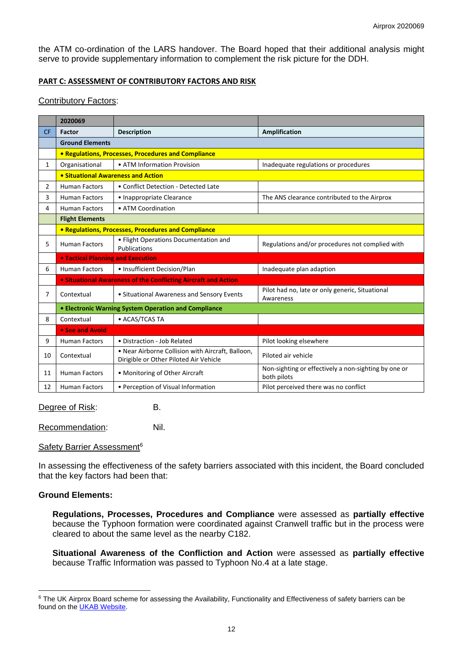the ATM co-ordination of the LARS handover. The Board hoped that their additional analysis might serve to provide supplementary information to complement the risk picture for the DDH.

### **PART C: ASSESSMENT OF CONTRIBUTORY FACTORS AND RISK**

### Contributory Factors:

|                | 2020069                                                        |                                                                                             |                                                                     |
|----------------|----------------------------------------------------------------|---------------------------------------------------------------------------------------------|---------------------------------------------------------------------|
| <b>CF</b>      | Factor                                                         | <b>Description</b>                                                                          | Amplification                                                       |
|                | <b>Ground Elements</b>                                         |                                                                                             |                                                                     |
|                | • Regulations, Processes, Procedures and Compliance            |                                                                                             |                                                                     |
| $\mathbf{1}$   | Organisational                                                 | • ATM Information Provision                                                                 | Inadequate regulations or procedures                                |
|                | • Situational Awareness and Action                             |                                                                                             |                                                                     |
| $\overline{2}$ | <b>Human Factors</b>                                           | • Conflict Detection - Detected Late                                                        |                                                                     |
| 3              | <b>Human Factors</b>                                           | • Inappropriate Clearance                                                                   | The ANS clearance contributed to the Airprox                        |
| 4              | <b>Human Factors</b>                                           | • ATM Coordination                                                                          |                                                                     |
|                | <b>Flight Elements</b>                                         |                                                                                             |                                                                     |
|                | • Regulations, Processes, Procedures and Compliance            |                                                                                             |                                                                     |
| 5.             | <b>Human Factors</b>                                           | • Flight Operations Documentation and<br>Publications                                       | Regulations and/or procedures not complied with                     |
|                | <b>• Tactical Planning and Execution</b>                       |                                                                                             |                                                                     |
| 6              | <b>Human Factors</b>                                           | • Insufficient Decision/Plan                                                                | Inadequate plan adaption                                            |
|                | • Situational Awareness of the Conflicting Aircraft and Action |                                                                                             |                                                                     |
| 7              | Contextual                                                     | • Situational Awareness and Sensory Events                                                  | Pilot had no, late or only generic, Situational<br>Awareness        |
|                | <b>• Electronic Warning System Operation and Compliance</b>    |                                                                                             |                                                                     |
| 8              | Contextual                                                     | • ACAS/TCAS TA                                                                              |                                                                     |
|                | • See and Avoid                                                |                                                                                             |                                                                     |
| 9              | <b>Human Factors</b>                                           | · Distraction - Job Related                                                                 | Pilot looking elsewhere                                             |
| 10             | Contextual                                                     | . Near Airborne Collision with Aircraft, Balloon,<br>Dirigible or Other Piloted Air Vehicle | Piloted air vehicle                                                 |
| 11             | <b>Human Factors</b>                                           | • Monitoring of Other Aircraft                                                              | Non-sighting or effectively a non-sighting by one or<br>both pilots |
| 12             | <b>Human Factors</b>                                           | • Perception of Visual Information                                                          | Pilot perceived there was no conflict                               |

Degree of Risk: B.

Recommendation: Nil.

### Safety Barrier Assessment<sup>6</sup>

In assessing the effectiveness of the safety barriers associated with this incident, the Board concluded that the key factors had been that:

### **Ground Elements:**

**Regulations, Processes, Procedures and Compliance** were assessed as **partially effective** because the Typhoon formation were coordinated against Cranwell traffic but in the process were cleared to about the same level as the nearby C182.

**Situational Awareness of the Confliction and Action** were assessed as **partially effective** because Traffic Information was passed to Typhoon No.4 at a late stage.

<sup>&</sup>lt;sup>6</sup> The UK Airprox Board scheme for assessing the Availability, Functionality and Effectiveness of safety barriers can be found on the [UKAB Website.](http://www.airproxboard.org.uk/Learn-more/Airprox-Barrier-Assessment/)